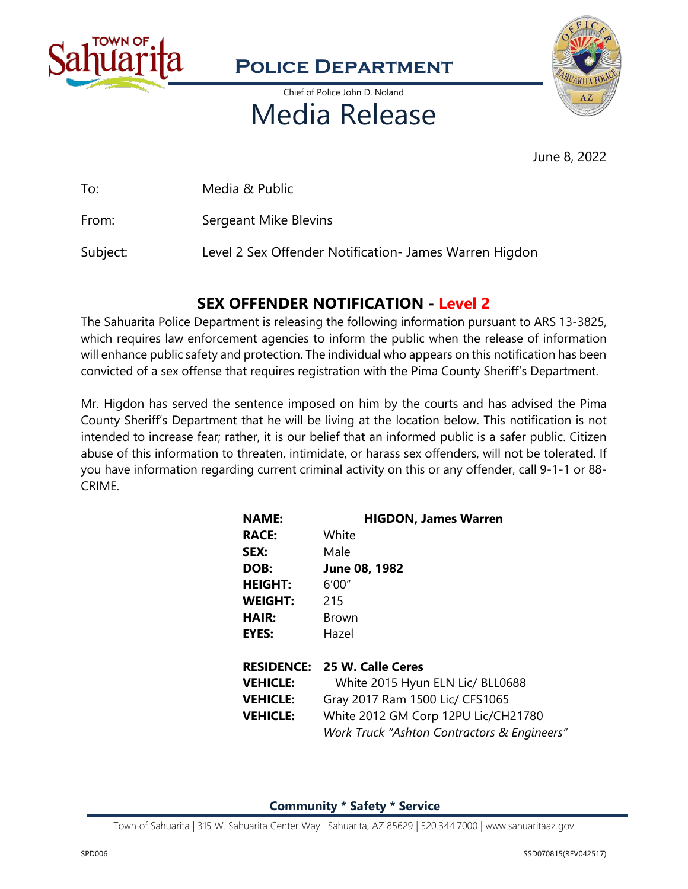

### **Police Department**

Chief of Police John D. Noland

# Media Release



June 8, 2022

To: Media & Public

From: Sergeant Mike Blevins

Subject: Level 2 Sex Offender Notification- James Warren Higdon

### **SEX OFFENDER NOTIFICATION - Level 2**

The Sahuarita Police Department is releasing the following information pursuant to ARS 13-3825, which requires law enforcement agencies to inform the public when the release of information will enhance public safety and protection. The individual who appears on this notification has been convicted of a sex offense that requires registration with the Pima County Sheriff's Department.

Mr. Higdon has served the sentence imposed on him by the courts and has advised the Pima County Sheriff's Department that he will be living at the location below. This notification is not intended to increase fear; rather, it is our belief that an informed public is a safer public. Citizen abuse of this information to threaten, intimidate, or harass sex offenders, will not be tolerated. If you have information regarding current criminal activity on this or any offender, call 9-1-1 or 88- CRIME.

| <b>NAME:</b>    | <b>HIGDON, James Warren</b>                 |
|-----------------|---------------------------------------------|
| <b>RACE:</b>    | White                                       |
| SEX:            | Male                                        |
| DOB:            | June 08, 1982                               |
| <b>HEIGHT:</b>  | 6'00''                                      |
| <b>WEIGHT:</b>  | 215                                         |
| <b>HAIR:</b>    | <b>Brown</b>                                |
| EYES:           | Hazel                                       |
|                 | <b>RESIDENCE: 25 W. Calle Ceres</b>         |
| <b>VEHICLE:</b> | White 2015 Hyun ELN Lic/ BLL0688            |
| <b>VEHICLE:</b> | Gray 2017 Ram 1500 Lic/ CFS1065             |
| <b>VEHICLE:</b> | White 2012 GM Corp 12PU Lic/CH21780         |
|                 | Work Truck "Ashton Contractors & Engineers" |

**Community \* Safety \* Service**

Town of Sahuarita | 315 W. Sahuarita Center Way | Sahuarita, AZ 85629 | 520.344.7000 | www.sahuaritaaz.gov